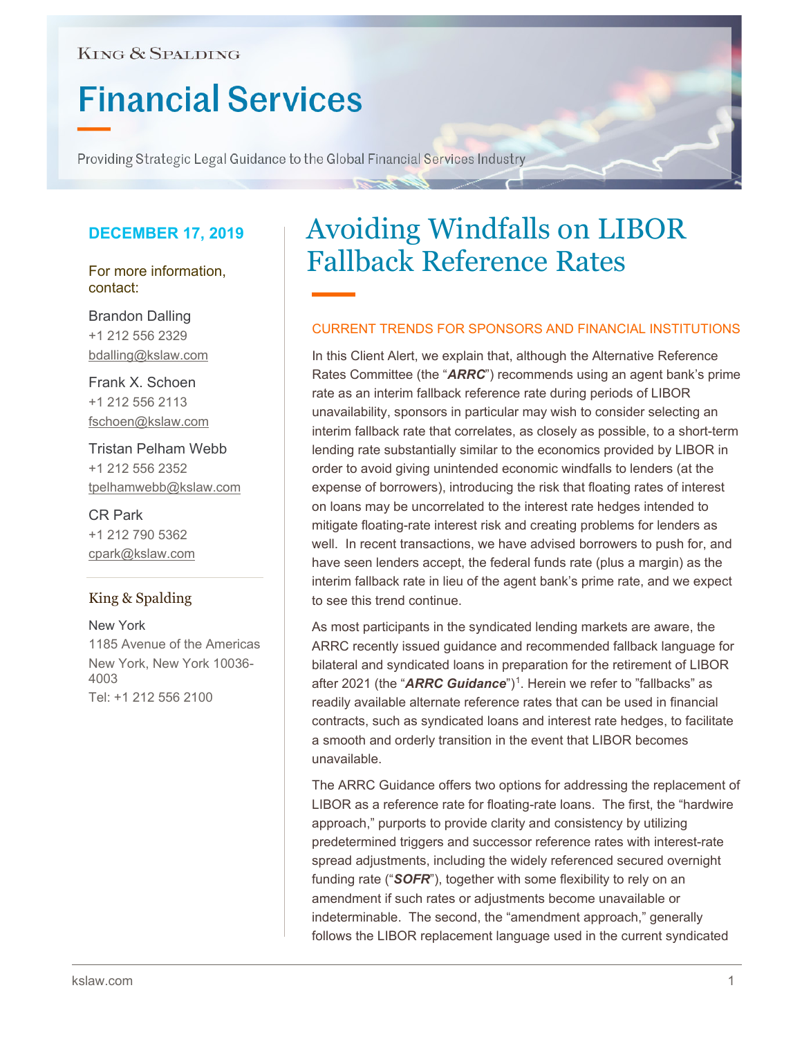# **KING & SPALDING**

# **Financial Services**

Providing Strategic Legal Guidance to the Global Financial Services Industry

# **DECEMBER 17, 2019**

For more information, contact:

Brandon Dalling +1 212 556 2329 bdalling@kslaw.com

Frank X. Schoen +1 212 556 2113 fschoen@kslaw.com

Tristan Pelham Webb +1 212 556 2352 tpelhamwebb@kslaw.com

CR Park +1 212 790 5362 cpark@kslaw.com

# King & Spalding

New York 1185 Avenue of the Americas New York, New York 10036- 4003 Tel: +1 212 556 2100

# Avoiding Windfalls on LIBOR Fallback Reference Rates

### CURRENT TRENDS FOR SPONSORS AND FINANCIAL INSTITUTIONS

In this Client Alert, we explain that, although the Alternative Reference Rates Committee (the "*ARRC*") recommends using an agent bank's prime rate as an interim fallback reference rate during periods of LIBOR unavailability, sponsors in particular may wish to consider selecting an interim fallback rate that correlates, as closely as possible, to a short-term lending rate substantially similar to the economics provided by LIBOR in order to avoid giving unintended economic windfalls to lenders (at the expense of borrowers), introducing the risk that floating rates of interest on loans may be uncorrelated to the interest rate hedges intended to mitigate floating-rate interest risk and creating problems for lenders as well. In recent transactions, we have advised borrowers to push for, and have seen lenders accept, the federal funds rate (plus a margin) as the interim fallback rate in lieu of the agent bank's prime rate, and we expect to see this trend continue.

As most participants in the syndicated lending markets are aware, the ARRC recently issued guidance and recommended fallback language for bilateral and syndicated loans in preparation for the retirement of LIBOR after 202[1](#page-2-0) (the "**ARRC Guidance**")<sup>1</sup>. Herein we refer to "fallbacks" as readily available alternate reference rates that can be used in financial contracts, such as syndicated loans and interest rate hedges, to facilitate a smooth and orderly transition in the event that LIBOR becomes unavailable.

The ARRC Guidance offers two options for addressing the replacement of LIBOR as a reference rate for floating-rate loans. The first, the "hardwire approach," purports to provide clarity and consistency by utilizing predetermined triggers and successor reference rates with interest-rate spread adjustments, including the widely referenced secured overnight funding rate ("*SOFR*"), together with some flexibility to rely on an amendment if such rates or adjustments become unavailable or indeterminable. The second, the "amendment approach," generally follows the LIBOR replacement language used in the current syndicated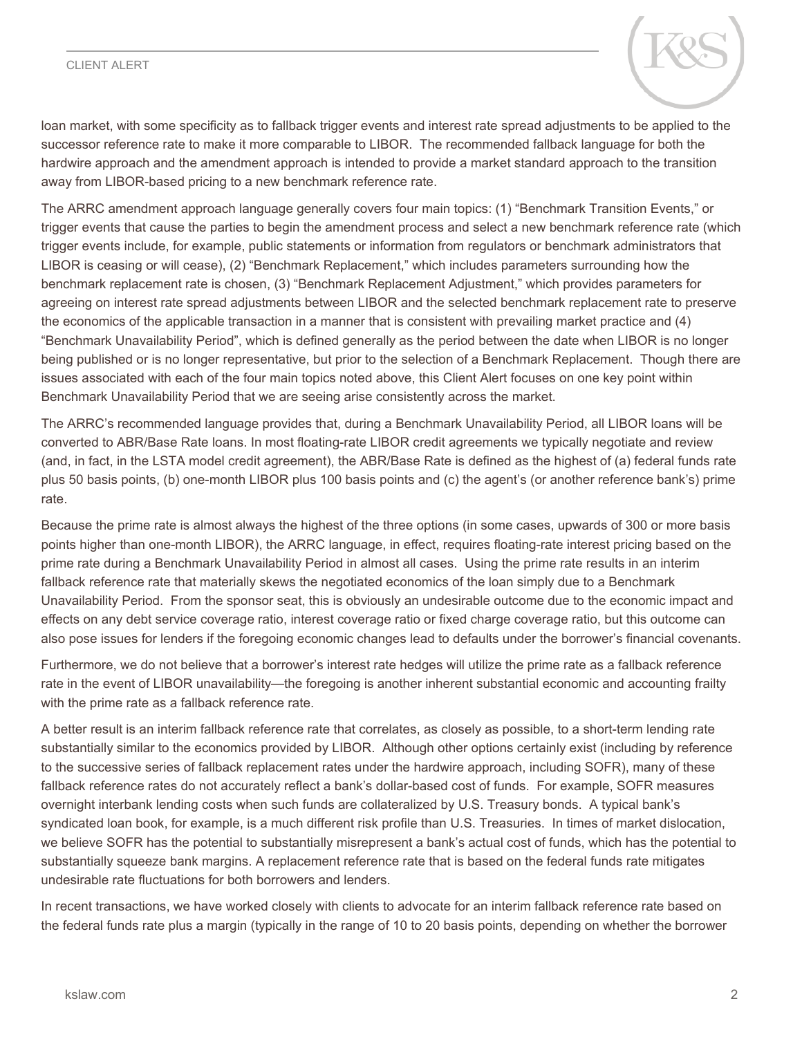### CLIENT ALERT



loan market, with some specificity as to fallback trigger events and interest rate spread adjustments to be applied to the successor reference rate to make it more comparable to LIBOR. The recommended fallback language for both the hardwire approach and the amendment approach is intended to provide a market standard approach to the transition away from LIBOR-based pricing to a new benchmark reference rate.

The ARRC amendment approach language generally covers four main topics: (1) "Benchmark Transition Events," or trigger events that cause the parties to begin the amendment process and select a new benchmark reference rate (which trigger events include, for example, public statements or information from regulators or benchmark administrators that LIBOR is ceasing or will cease), (2) "Benchmark Replacement," which includes parameters surrounding how the benchmark replacement rate is chosen, (3) "Benchmark Replacement Adjustment," which provides parameters for agreeing on interest rate spread adjustments between LIBOR and the selected benchmark replacement rate to preserve the economics of the applicable transaction in a manner that is consistent with prevailing market practice and (4) "Benchmark Unavailability Period", which is defined generally as the period between the date when LIBOR is no longer being published or is no longer representative, but prior to the selection of a Benchmark Replacement. Though there are issues associated with each of the four main topics noted above, this Client Alert focuses on one key point within Benchmark Unavailability Period that we are seeing arise consistently across the market.

The ARRC's recommended language provides that, during a Benchmark Unavailability Period, all LIBOR loans will be converted to ABR/Base Rate loans. In most floating-rate LIBOR credit agreements we typically negotiate and review (and, in fact, in the LSTA model credit agreement), the ABR/Base Rate is defined as the highest of (a) federal funds rate plus 50 basis points, (b) one-month LIBOR plus 100 basis points and (c) the agent's (or another reference bank's) prime rate.

Because the prime rate is almost always the highest of the three options (in some cases, upwards of 300 or more basis points higher than one-month LIBOR), the ARRC language, in effect, requires floating-rate interest pricing based on the prime rate during a Benchmark Unavailability Period in almost all cases. Using the prime rate results in an interim fallback reference rate that materially skews the negotiated economics of the loan simply due to a Benchmark Unavailability Period. From the sponsor seat, this is obviously an undesirable outcome due to the economic impact and effects on any debt service coverage ratio, interest coverage ratio or fixed charge coverage ratio, but this outcome can also pose issues for lenders if the foregoing economic changes lead to defaults under the borrower's financial covenants.

Furthermore, we do not believe that a borrower's interest rate hedges will utilize the prime rate as a fallback reference rate in the event of LIBOR unavailability—the foregoing is another inherent substantial economic and accounting frailty with the prime rate as a fallback reference rate.

A better result is an interim fallback reference rate that correlates, as closely as possible, to a short-term lending rate substantially similar to the economics provided by LIBOR. Although other options certainly exist (including by reference to the successive series of fallback replacement rates under the hardwire approach, including SOFR), many of these fallback reference rates do not accurately reflect a bank's dollar-based cost of funds. For example, SOFR measures overnight interbank lending costs when such funds are collateralized by U.S. Treasury bonds. A typical bank's syndicated loan book, for example, is a much different risk profile than U.S. Treasuries. In times of market dislocation, we believe SOFR has the potential to substantially misrepresent a bank's actual cost of funds, which has the potential to substantially squeeze bank margins. A replacement reference rate that is based on the federal funds rate mitigates undesirable rate fluctuations for both borrowers and lenders.

In recent transactions, we have worked closely with clients to advocate for an interim fallback reference rate based on the federal funds rate plus a margin (typically in the range of 10 to 20 basis points, depending on whether the borrower